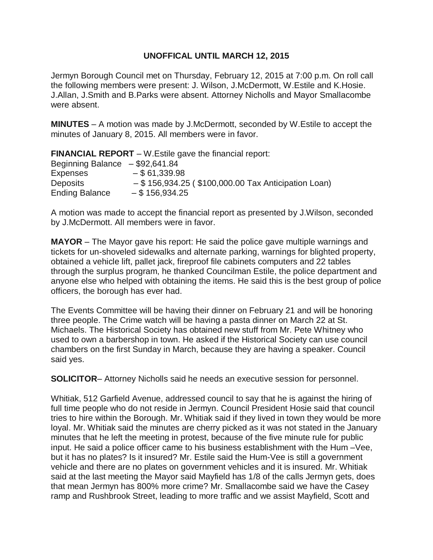## **UNOFFICAL UNTIL MARCH 12, 2015**

Jermyn Borough Council met on Thursday, February 12, 2015 at 7:00 p.m. On roll call the following members were present: J. Wilson, J.McDermott, W.Estile and K.Hosie. J.Allan, J.Smith and B.Parks were absent. Attorney Nicholls and Mayor Smallacombe were absent.

**MINUTES** – A motion was made by J.McDermott, seconded by W.Estile to accept the minutes of January 8, 2015. All members were in favor.

**FINANCIAL REPORT** – W.Estile gave the financial report: Beginning Balance – \$92,641.84 Expenses  $- $61,339.98$ Deposits – \$ 156,934.25 ( \$100,000.00 Tax Anticipation Loan) Ending Balance – \$ 156,934.25

A motion was made to accept the financial report as presented by J.Wilson, seconded by J.McDermott. All members were in favor.

**MAYOR** – The Mayor gave his report: He said the police gave multiple warnings and tickets for un-shoveled sidewalks and alternate parking, warnings for blighted property, obtained a vehicle lift, pallet jack, fireproof file cabinets computers and 22 tables through the surplus program, he thanked Councilman Estile, the police department and anyone else who helped with obtaining the items. He said this is the best group of police officers, the borough has ever had.

The Events Committee will be having their dinner on February 21 and will be honoring three people. The Crime watch will be having a pasta dinner on March 22 at St. Michaels. The Historical Society has obtained new stuff from Mr. Pete Whitney who used to own a barbershop in town. He asked if the Historical Society can use council chambers on the first Sunday in March, because they are having a speaker. Council said yes.

**SOLICITOR**– Attorney Nicholls said he needs an executive session for personnel.

Whitiak, 512 Garfield Avenue, addressed council to say that he is against the hiring of full time people who do not reside in Jermyn. Council President Hosie said that council tries to hire within the Borough. Mr. Whitiak said if they lived in town they would be more loyal. Mr. Whitiak said the minutes are cherry picked as it was not stated in the January minutes that he left the meeting in protest, because of the five minute rule for public input. He said a police officer came to his business establishment with the Hum –Vee, but it has no plates? Is it insured? Mr. Estile said the Hum-Vee is still a government vehicle and there are no plates on government vehicles and it is insured. Mr. Whitiak said at the last meeting the Mayor said Mayfield has 1/8 of the calls Jermyn gets, does that mean Jermyn has 800% more crime? Mr. Smallacombe said we have the Casey ramp and Rushbrook Street, leading to more traffic and we assist Mayfield, Scott and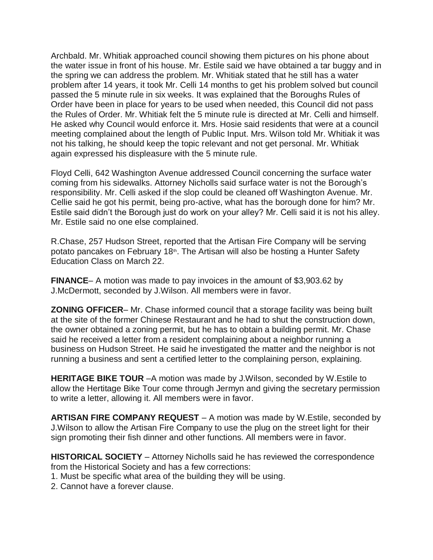Archbald. Mr. Whitiak approached council showing them pictures on his phone about the water issue in front of his house. Mr. Estile said we have obtained a tar buggy and in the spring we can address the problem. Mr. Whitiak stated that he still has a water problem after 14 years, it took Mr. Celli 14 months to get his problem solved but council passed the 5 minute rule in six weeks. It was explained that the Boroughs Rules of Order have been in place for years to be used when needed, this Council did not pass the Rules of Order. Mr. Whitiak felt the 5 minute rule is directed at Mr. Celli and himself. He asked why Council would enforce it. Mrs. Hosie said residents that were at a council meeting complained about the length of Public Input. Mrs. Wilson told Mr. Whitiak it was not his talking, he should keep the topic relevant and not get personal. Mr. Whitiak again expressed his displeasure with the 5 minute rule.

Floyd Celli, 642 Washington Avenue addressed Council concerning the surface water coming from his sidewalks. Attorney Nicholls said surface water is not the Borough's responsibility. Mr. Celli asked if the slop could be cleaned off Washington Avenue. Mr. Cellie said he got his permit, being pro-active, what has the borough done for him? Mr. Estile said didn't the Borough just do work on your alley? Mr. Celli said it is not his alley. Mr. Estile said no one else complained.

R.Chase, 257 Hudson Street, reported that the Artisan Fire Company will be serving potato pancakes on February 18<sup>th</sup>. The Artisan will also be hosting a Hunter Safety Education Class on March 22.

**FINANCE**– A motion was made to pay invoices in the amount of \$3,903.62 by J.McDermott, seconded by J.Wilson. All members were in favor.

**ZONING OFFICER**– Mr. Chase informed council that a storage facility was being built at the site of the former Chinese Restaurant and he had to shut the construction down, the owner obtained a zoning permit, but he has to obtain a building permit. Mr. Chase said he received a letter from a resident complaining about a neighbor running a business on Hudson Street. He said he investigated the matter and the neighbor is not running a business and sent a certified letter to the complaining person, explaining.

**HERITAGE BIKE TOUR** –A motion was made by J.Wilson, seconded by W.Estile to allow the Hertitage Bike Tour come through Jermyn and giving the secretary permission to write a letter, allowing it. All members were in favor.

**ARTISAN FIRE COMPANY REQUEST** – A motion was made by W.Estile, seconded by J.Wilson to allow the Artisan Fire Company to use the plug on the street light for their sign promoting their fish dinner and other functions. All members were in favor.

**HISTORICAL SOCIETY** – Attorney Nicholls said he has reviewed the correspondence from the Historical Society and has a few corrections:

1. Must be specific what area of the building they will be using.

2. Cannot have a forever clause.